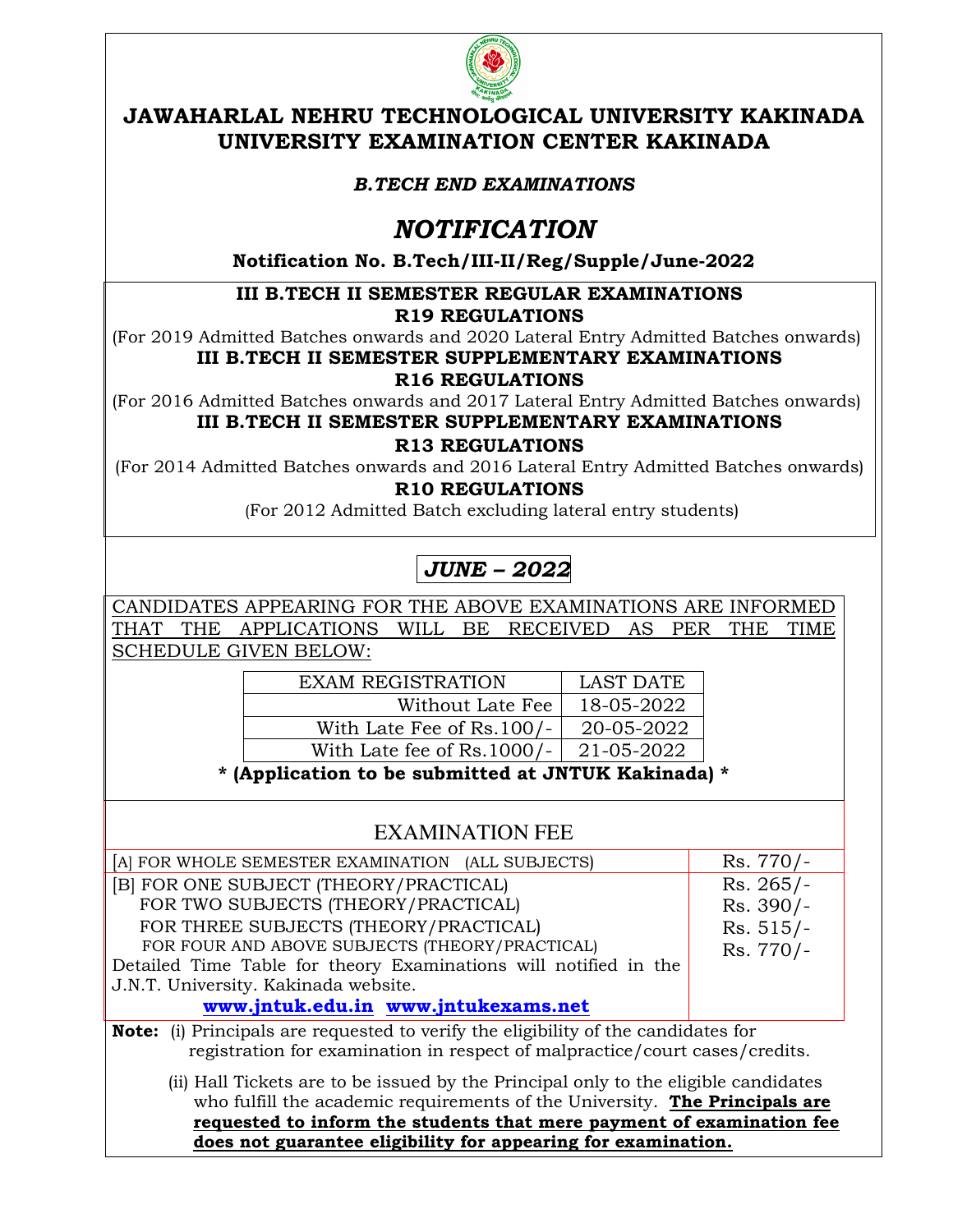

### **JAWAHARLAL NEHRU TECHNOLOGICAL UNIVERSITY KAKINADA UNIVERSITY EXAMINATION CENTER KAKINADA**

#### *B.TECH END EXAMINATIONS*

## *NOTIFICATION*

**Notification No. B.Tech/III-II/Reg/Supple/June-2022**

# **III B.TECH II SEMESTER REGULAR EXAMINATIONS**

**R19 REGULATIONS** 

(For 2019 Admitted Batches onwards and 2020 Lateral Entry Admitted Batches onwards) **III B.TECH II SEMESTER SUPPLEMENTARY EXAMINATIONS** 

#### **R16 REGULATIONS**

(For 2016 Admitted Batches onwards and 2017 Lateral Entry Admitted Batches onwards) **III B.TECH II SEMESTER SUPPLEMENTARY EXAMINATIONS**

**R13 REGULATIONS** 

(For 2014 Admitted Batches onwards and 2016 Lateral Entry Admitted Batches onwards) **R10 REGULATIONS**

(For 2012 Admitted Batch excluding lateral entry students)

# *JUNE – 2022*

CANDIDATES APPEARING FOR THE ABOVE EXAMINATIONS ARE INFORMED THAT THE APPLICATIONS WILL BE RECEIVED AS PER THE TIME SCHEDULE GIVEN BELOW:

| <b>EXAM REGISTRATION</b>     | LAST DATE  |
|------------------------------|------------|
| Without Late Fee             | 18-05-2022 |
| With Late Fee of Rs.100/-    | 20-05-2022 |
| With Late fee of $Rs.1000/-$ | 21-05-2022 |

**\* (Application to be submitted at JNTUK Kakinada) \***

### EXAMINATION FEE

| [A] FOR WHOLE SEMESTER EXAMINATION (ALL SUBJECTS)                                                                                                                        | $Rs.770/-$  |
|--------------------------------------------------------------------------------------------------------------------------------------------------------------------------|-------------|
| [B] FOR ONE SUBJECT (THEORY/PRACTICAL)                                                                                                                                   | $Rs. 265/-$ |
| FOR TWO SUBJECTS (THEORY/PRACTICAL)                                                                                                                                      | $Rs. 390/-$ |
| FOR THREE SUBJECTS (THEORY/PRACTICAL)                                                                                                                                    | $Rs. 515/-$ |
| FOR FOUR AND ABOVE SUBJECTS (THEORY/PRACTICAL)                                                                                                                           | Rs. 770/-   |
| Detailed Time Table for theory Examinations will notified in the                                                                                                         |             |
| J.N.T. University. Kakinada website.                                                                                                                                     |             |
| www.jntuk.edu.in www.jntukexams.net                                                                                                                                      |             |
| <b>Note:</b> (i) Principals are requested to verify the eligibility of the candidates for<br>registration for examination in respect of malpractice/court cases/credits. |             |
| (ii) Hall Tickets are to be issued by the Principal only to the eligible candidates<br>who fulfill the ecodemic requirements of the University. The Drivesianle and      |             |

 who fulfill the academic requirements of the University. **The Principals are requested to inform the students that mere payment of examination fee does not guarantee eligibility for appearing for examination.**